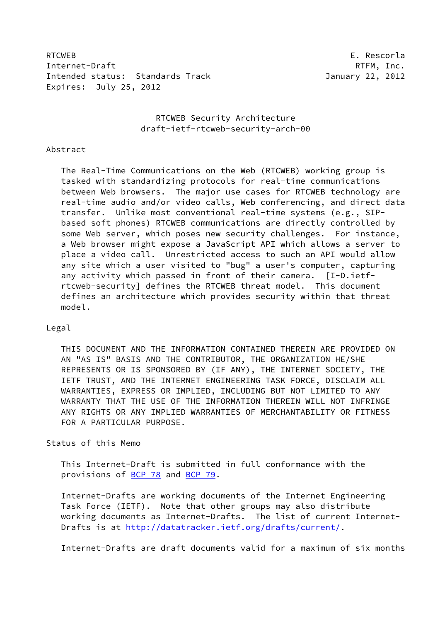RTCWEB E. Rescorla Internet-Draft RTFM, Inc. Intended status: Standards Track January 22, 2012 Expires: July 25, 2012

# RTCWEB Security Architecture draft-ietf-rtcweb-security-arch-00

#### Abstract

 The Real-Time Communications on the Web (RTCWEB) working group is tasked with standardizing protocols for real-time communications between Web browsers. The major use cases for RTCWEB technology are real-time audio and/or video calls, Web conferencing, and direct data transfer. Unlike most conventional real-time systems (e.g., SIP based soft phones) RTCWEB communications are directly controlled by some Web server, which poses new security challenges. For instance, a Web browser might expose a JavaScript API which allows a server to place a video call. Unrestricted access to such an API would allow any site which a user visited to "bug" a user's computer, capturing any activity which passed in front of their camera. [I-D.ietf rtcweb-security] defines the RTCWEB threat model. This document defines an architecture which provides security within that threat model.

### Legal

 THIS DOCUMENT AND THE INFORMATION CONTAINED THEREIN ARE PROVIDED ON AN "AS IS" BASIS AND THE CONTRIBUTOR, THE ORGANIZATION HE/SHE REPRESENTS OR IS SPONSORED BY (IF ANY), THE INTERNET SOCIETY, THE IETF TRUST, AND THE INTERNET ENGINEERING TASK FORCE, DISCLAIM ALL WARRANTIES, EXPRESS OR IMPLIED, INCLUDING BUT NOT LIMITED TO ANY WARRANTY THAT THE USE OF THE INFORMATION THEREIN WILL NOT INFRINGE ANY RIGHTS OR ANY IMPLIED WARRANTIES OF MERCHANTABILITY OR FITNESS FOR A PARTICULAR PURPOSE.

# Status of this Memo

 This Internet-Draft is submitted in full conformance with the provisions of [BCP 78](https://datatracker.ietf.org/doc/pdf/bcp78) and [BCP 79](https://datatracker.ietf.org/doc/pdf/bcp79).

 Internet-Drafts are working documents of the Internet Engineering Task Force (IETF). Note that other groups may also distribute working documents as Internet-Drafts. The list of current Internet Drafts is at<http://datatracker.ietf.org/drafts/current/>.

Internet-Drafts are draft documents valid for a maximum of six months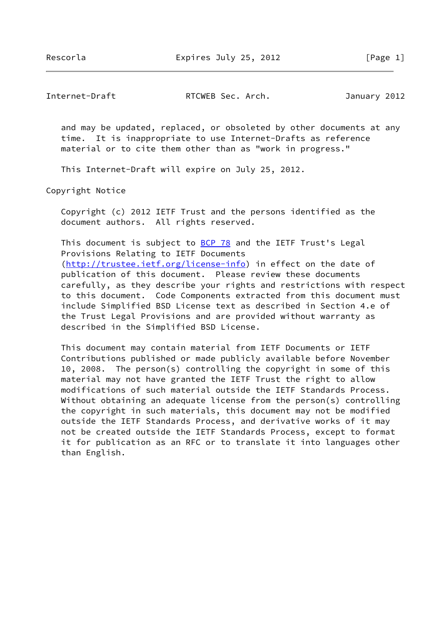Rescorla Expires July 25, 2012 [Page 1]

Internet-Draft RTCWEB Sec. Arch. January 2012

 and may be updated, replaced, or obsoleted by other documents at any time. It is inappropriate to use Internet-Drafts as reference material or to cite them other than as "work in progress."

This Internet-Draft will expire on July 25, 2012.

Copyright Notice

 Copyright (c) 2012 IETF Trust and the persons identified as the document authors. All rights reserved.

This document is subject to **[BCP 78](https://datatracker.ietf.org/doc/pdf/bcp78)** and the IETF Trust's Legal Provisions Relating to IETF Documents [\(http://trustee.ietf.org/license-info](http://trustee.ietf.org/license-info)) in effect on the date of publication of this document. Please review these documents carefully, as they describe your rights and restrictions with respect to this document. Code Components extracted from this document must include Simplified BSD License text as described in Section 4.e of the Trust Legal Provisions and are provided without warranty as described in the Simplified BSD License.

 This document may contain material from IETF Documents or IETF Contributions published or made publicly available before November 10, 2008. The person(s) controlling the copyright in some of this material may not have granted the IETF Trust the right to allow modifications of such material outside the IETF Standards Process. Without obtaining an adequate license from the person(s) controlling the copyright in such materials, this document may not be modified outside the IETF Standards Process, and derivative works of it may not be created outside the IETF Standards Process, except to format it for publication as an RFC or to translate it into languages other than English.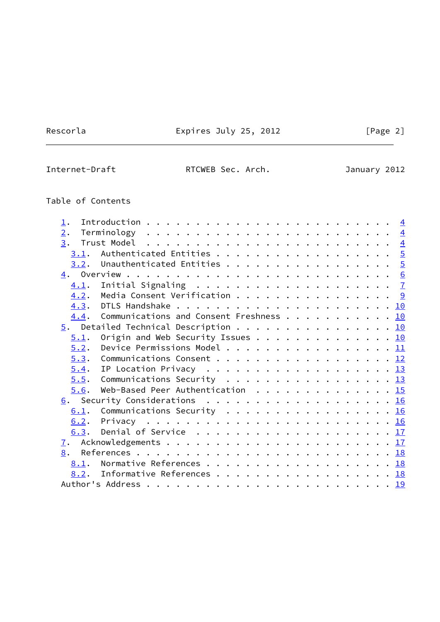Rescorla **Expires July 25, 2012** [Page 2]

 $\overline{\phantom{0}}$ 

Internet-Draft RTCWEB Sec. Arch. January 2012

# Table of Contents

| $\perp$ . |                                                                              |  |  |
|-----------|------------------------------------------------------------------------------|--|--|
| 2.        |                                                                              |  |  |
| 3.        | Trust Model $\ldots \ldots \ldots \ldots \ldots \ldots \ldots \ldots \ldots$ |  |  |
| 3.1.      | Authenticated Entities 5                                                     |  |  |
|           | $\underline{3.2}$ . Unauthenticated Entities 5                               |  |  |
|           |                                                                              |  |  |
| 4.1.      |                                                                              |  |  |
|           | 4.2. Media Consent Verification 9                                            |  |  |
|           |                                                                              |  |  |
| 4.4.      | Communications and Consent Freshness 10                                      |  |  |
|           | $\underline{5}$ . Detailed Technical Description 10                          |  |  |
| 5.1.      | Origin and Web Security Issues 10                                            |  |  |
| 5.2.      | Device Permissions Model 11                                                  |  |  |
| 5.3.      | Communications Consent 12                                                    |  |  |
|           |                                                                              |  |  |
| 5.5.      | Communications Security 13                                                   |  |  |
| 5.6.      | Web-Based Peer Authentication $\cdots$ 15                                    |  |  |
|           | 6. Security Considerations 16                                                |  |  |
|           | 6.1. Communications Security 16                                              |  |  |
|           |                                                                              |  |  |
|           |                                                                              |  |  |
|           |                                                                              |  |  |
| 8.        |                                                                              |  |  |
| 8.1.      | Normative References 18                                                      |  |  |
|           | 8.2. Informative References 18                                               |  |  |
|           |                                                                              |  |  |
|           |                                                                              |  |  |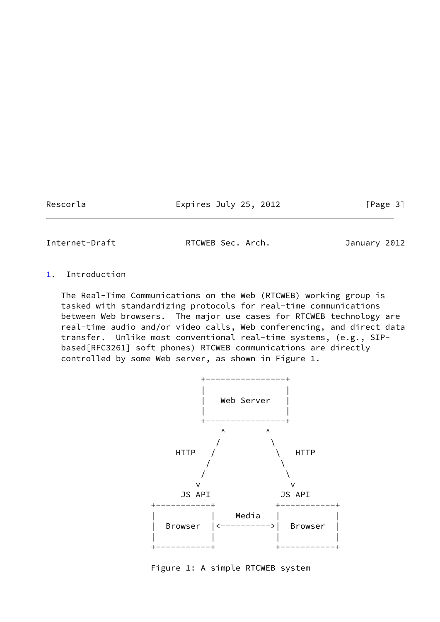Rescorla **Expires July 25, 2012** [Page 3]

<span id="page-3-1"></span>Internet-Draft RTCWEB Sec. Arch. January 2012

### <span id="page-3-0"></span>[1](#page-3-0). Introduction

 The Real-Time Communications on the Web (RTCWEB) working group is tasked with standardizing protocols for real-time communications between Web browsers. The major use cases for RTCWEB technology are real-time audio and/or video calls, Web conferencing, and direct data transfer. Unlike most conventional real-time systems, (e.g., SIP based[RFC3261] soft phones) RTCWEB communications are directly controlled by some Web server, as shown in Figure 1.



Figure 1: A simple RTCWEB system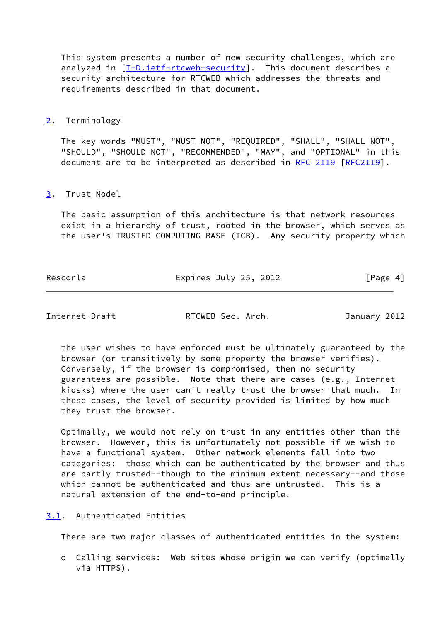This system presents a number of new security challenges, which are analyzed in [\[I-D.ietf-rtcweb-security](#page-19-5)]. This document describes a security architecture for RTCWEB which addresses the threats and requirements described in that document.

<span id="page-4-0"></span>[2](#page-4-0). Terminology

 The key words "MUST", "MUST NOT", "REQUIRED", "SHALL", "SHALL NOT", "SHOULD", "SHOULD NOT", "RECOMMENDED", "MAY", and "OPTIONAL" in this document are to be interpreted as described in [RFC 2119 \[RFC2119](https://datatracker.ietf.org/doc/pdf/rfc2119)].

# <span id="page-4-1"></span>[3](#page-4-1). Trust Model

 The basic assumption of this architecture is that network resources exist in a hierarchy of trust, rooted in the browser, which serves as the user's TRUSTED COMPUTING BASE (TCB). Any security property which

| Rescorla | Expires July 25, 2012 | [Page 4] |
|----------|-----------------------|----------|
|          |                       |          |

<span id="page-4-3"></span>Internet-Draft RTCWEB Sec. Arch. January 2012

 the user wishes to have enforced must be ultimately guaranteed by the browser (or transitively by some property the browser verifies). Conversely, if the browser is compromised, then no security guarantees are possible. Note that there are cases (e.g., Internet kiosks) where the user can't really trust the browser that much. In these cases, the level of security provided is limited by how much they trust the browser.

 Optimally, we would not rely on trust in any entities other than the browser. However, this is unfortunately not possible if we wish to have a functional system. Other network elements fall into two categories: those which can be authenticated by the browser and thus are partly trusted--though to the minimum extent necessary--and those which cannot be authenticated and thus are untrusted. This is a natural extension of the end-to-end principle.

<span id="page-4-2"></span>[3.1](#page-4-2). Authenticated Entities

There are two major classes of authenticated entities in the system:

 o Calling services: Web sites whose origin we can verify (optimally via HTTPS).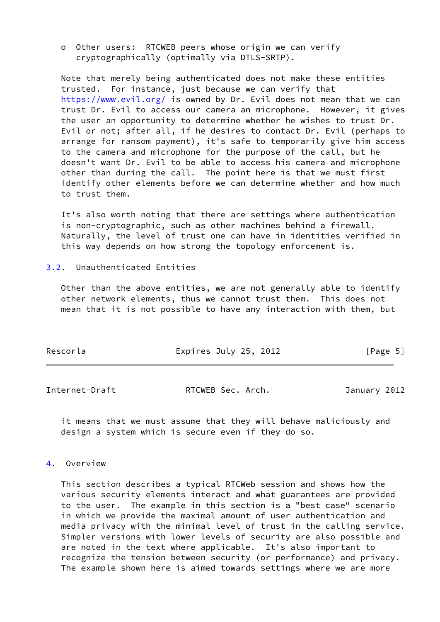o Other users: RTCWEB peers whose origin we can verify cryptographically (optimally via DTLS-SRTP).

 Note that merely being authenticated does not make these entities trusted. For instance, just because we can verify that <https://www.evil.org/> is owned by Dr. Evil does not mean that we can trust Dr. Evil to access our camera an microphone. However, it gives the user an opportunity to determine whether he wishes to trust Dr. Evil or not; after all, if he desires to contact Dr. Evil (perhaps to arrange for ransom payment), it's safe to temporarily give him access to the camera and microphone for the purpose of the call, but he doesn't want Dr. Evil to be able to access his camera and microphone other than during the call. The point here is that we must first identify other elements before we can determine whether and how much to trust them.

 It's also worth noting that there are settings where authentication is non-cryptographic, such as other machines behind a firewall. Naturally, the level of trust one can have in identities verified in this way depends on how strong the topology enforcement is.

#### <span id="page-5-0"></span>[3.2](#page-5-0). Unauthenticated Entities

 Other than the above entities, we are not generally able to identify other network elements, thus we cannot trust them. This does not mean that it is not possible to have any interaction with them, but

| Rescorla | Expires July 25, 2012 | [Page 5] |
|----------|-----------------------|----------|
|          |                       |          |

<span id="page-5-2"></span>Internet-Draft RTCWEB Sec. Arch. January 2012

 it means that we must assume that they will behave maliciously and design a system which is secure even if they do so.

#### <span id="page-5-1"></span>[4](#page-5-1). Overview

 This section describes a typical RTCWeb session and shows how the various security elements interact and what guarantees are provided to the user. The example in this section is a "best case" scenario in which we provide the maximal amount of user authentication and media privacy with the minimal level of trust in the calling service. Simpler versions with lower levels of security are also possible and are noted in the text where applicable. It's also important to recognize the tension between security (or performance) and privacy. The example shown here is aimed towards settings where we are more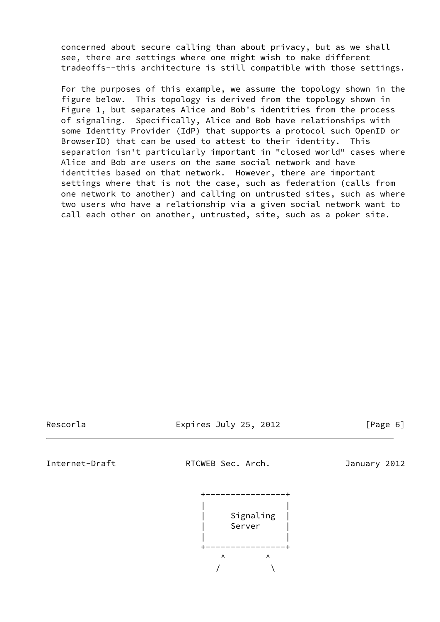concerned about secure calling than about privacy, but as we shall see, there are settings where one might wish to make different tradeoffs--this architecture is still compatible with those settings.

 For the purposes of this example, we assume the topology shown in the figure below. This topology is derived from the topology shown in Figure 1, but separates Alice and Bob's identities from the process of signaling. Specifically, Alice and Bob have relationships with some Identity Provider (IdP) that supports a protocol such OpenID or BrowserID) that can be used to attest to their identity. This separation isn't particularly important in "closed world" cases where Alice and Bob are users on the same social network and have identities based on that network. However, there are important settings where that is not the case, such as federation (calls from one network to another) and calling on untrusted sites, such as where two users who have a relationship via a given social network want to call each other on another, untrusted, site, such as a poker site.

Rescorla Expires July 25, 2012 [Page 6]

<span id="page-6-0"></span>Internet-Draft RTCWEB Sec. Arch. January 2012

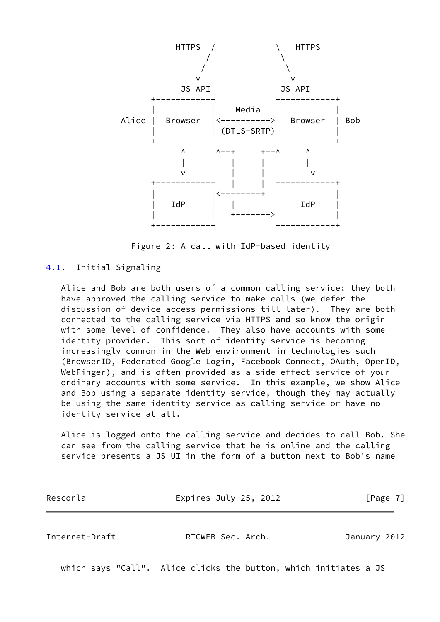

Figure 2: A call with IdP-based identity

### <span id="page-7-0"></span>[4.1](#page-7-0). Initial Signaling

 Alice and Bob are both users of a common calling service; they both have approved the calling service to make calls (we defer the discussion of device access permissions till later). They are both connected to the calling service via HTTPS and so know the origin with some level of confidence. They also have accounts with some identity provider. This sort of identity service is becoming increasingly common in the Web environment in technologies such (BrowserID, Federated Google Login, Facebook Connect, OAuth, OpenID, WebFinger), and is often provided as a side effect service of your ordinary accounts with some service. In this example, we show Alice and Bob using a separate identity service, though they may actually be using the same identity service as calling service or have no identity service at all.

 Alice is logged onto the calling service and decides to call Bob. She can see from the calling service that he is online and the calling service presents a JS UI in the form of a button next to Bob's name

| Rescorla | Expires July 25, 2012 | [Page 7] |
|----------|-----------------------|----------|
|          |                       |          |

Internet-Draft RTCWEB Sec. Arch. January 2012

which says "Call". Alice clicks the button, which initiates a JS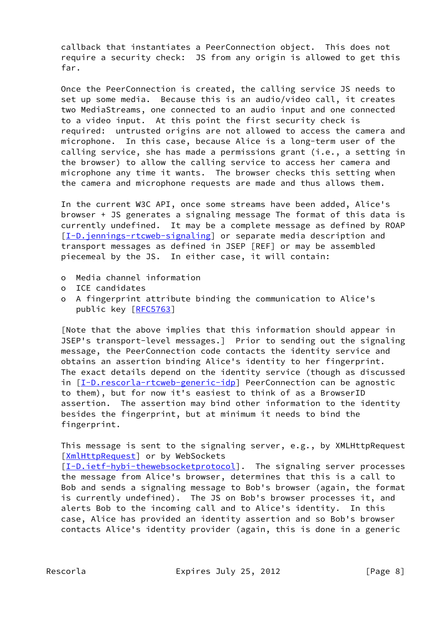callback that instantiates a PeerConnection object. This does not require a security check: JS from any origin is allowed to get this far.

 Once the PeerConnection is created, the calling service JS needs to set up some media. Because this is an audio/video call, it creates two MediaStreams, one connected to an audio input and one connected to a video input. At this point the first security check is required: untrusted origins are not allowed to access the camera and microphone. In this case, because Alice is a long-term user of the calling service, she has made a permissions grant (i.e., a setting in the browser) to allow the calling service to access her camera and microphone any time it wants. The browser checks this setting when the camera and microphone requests are made and thus allows them.

 In the current W3C API, once some streams have been added, Alice's browser + JS generates a signaling message The format of this data is currently undefined. It may be a complete message as defined by ROAP [\[I-D.jennings-rtcweb-signaling](#page-19-6)] or separate media description and transport messages as defined in JSEP [REF] or may be assembled piecemeal by the JS. In either case, it will contain:

- o Media channel information
- o ICE candidates
- o A fingerprint attribute binding the communication to Alice's public key [[RFC5763](https://datatracker.ietf.org/doc/pdf/rfc5763)]

 [Note that the above implies that this information should appear in JSEP's transport-level messages.] Prior to sending out the signaling message, the PeerConnection code contacts the identity service and obtains an assertion binding Alice's identity to her fingerprint. The exact details depend on the identity service (though as discussed in [[I-D.rescorla-rtcweb-generic-idp\]](#page-20-1) PeerConnection can be agnostic to them), but for now it's easiest to think of as a BrowserID assertion. The assertion may bind other information to the identity besides the fingerprint, but at minimum it needs to bind the fingerprint.

 This message is sent to the signaling server, e.g., by XMLHttpRequest [\[XmlHttpRequest](#page-20-2)] or by WebSockets

[\[I-D.ietf-hybi-thewebsocketprotocol\]](#page-19-7). The signaling server processes the message from Alice's browser, determines that this is a call to Bob and sends a signaling message to Bob's browser (again, the format is currently undefined). The JS on Bob's browser processes it, and alerts Bob to the incoming call and to Alice's identity. In this case, Alice has provided an identity assertion and so Bob's browser contacts Alice's identity provider (again, this is done in a generic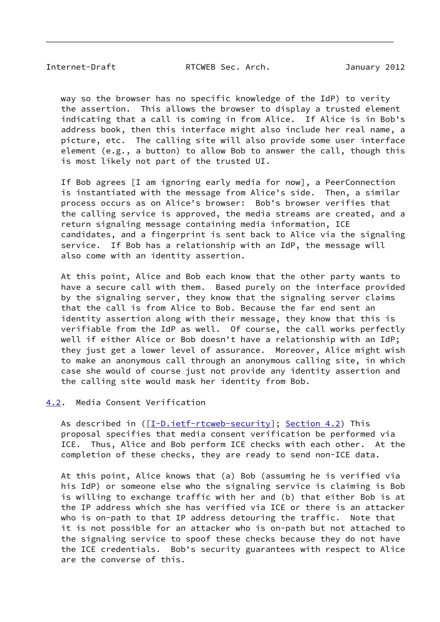<span id="page-9-1"></span>Internet-Draft RTCWEB Sec. Arch. January 2012

 way so the browser has no specific knowledge of the IdP) to verity the assertion. This allows the browser to display a trusted element indicating that a call is coming in from Alice. If Alice is in Bob's address book, then this interface might also include her real name, a picture, etc. The calling site will also provide some user interface element (e.g., a button) to allow Bob to answer the call, though this is most likely not part of the trusted UI.

 If Bob agrees [I am ignoring early media for now], a PeerConnection is instantiated with the message from Alice's side. Then, a similar process occurs as on Alice's browser: Bob's browser verifies that the calling service is approved, the media streams are created, and a return signaling message containing media information, ICE candidates, and a fingerprint is sent back to Alice via the signaling service. If Bob has a relationship with an IdP, the message will also come with an identity assertion.

 At this point, Alice and Bob each know that the other party wants to have a secure call with them. Based purely on the interface provided by the signaling server, they know that the signaling server claims that the call is from Alice to Bob. Because the far end sent an identity assertion along with their message, they know that this is verifiable from the IdP as well. Of course, the call works perfectly well if either Alice or Bob doesn't have a relationship with an IdP; they just get a lower level of assurance. Moreover, Alice might wish to make an anonymous call through an anonymous calling site, in which case she would of course just not provide any identity assertion and the calling site would mask her identity from Bob.

#### <span id="page-9-0"></span>[4.2](#page-9-0). Media Consent Verification

As described in ( $[I-D.iett-rtcweb-security]$ ; [Section 4.2](#page-9-0)) This proposal specifies that media consent verification be performed via ICE. Thus, Alice and Bob perform ICE checks with each other. At the completion of these checks, they are ready to send non-ICE data.

 At this point, Alice knows that (a) Bob (assuming he is verified via his IdP) or someone else who the signaling service is claiming is Bob is willing to exchange traffic with her and (b) that either Bob is at the IP address which she has verified via ICE or there is an attacker who is on-path to that IP address detouring the traffic. Note that it is not possible for an attacker who is on-path but not attached to the signaling service to spoof these checks because they do not have the ICE credentials. Bob's security guarantees with respect to Alice are the converse of this.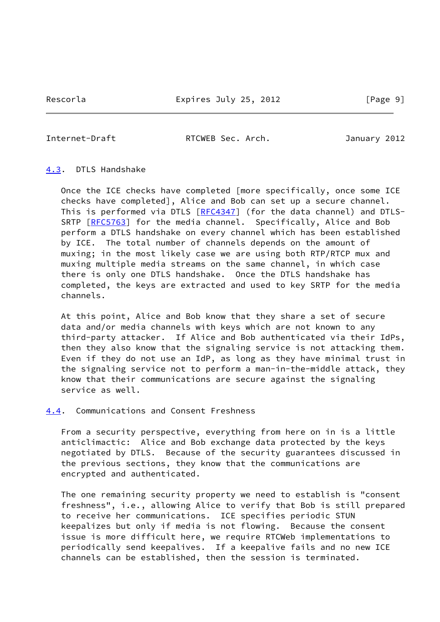Rescorla **Expires July 25, 2012** [Page 9]

<span id="page-10-1"></span>Internet-Draft RTCWEB Sec. Arch. January 2012

#### <span id="page-10-0"></span>[4.3](#page-10-0). DTLS Handshake

 Once the ICE checks have completed [more specifically, once some ICE checks have completed], Alice and Bob can set up a secure channel. This is performed via DTLS [[RFC4347\]](https://datatracker.ietf.org/doc/pdf/rfc4347) (for the data channel) and DTLS-SRTP [\[RFC5763](https://datatracker.ietf.org/doc/pdf/rfc5763)] for the media channel. Specifically, Alice and Bob perform a DTLS handshake on every channel which has been established by ICE. The total number of channels depends on the amount of muxing; in the most likely case we are using both RTP/RTCP mux and muxing multiple media streams on the same channel, in which case there is only one DTLS handshake. Once the DTLS handshake has completed, the keys are extracted and used to key SRTP for the media channels.

 At this point, Alice and Bob know that they share a set of secure data and/or media channels with keys which are not known to any third-party attacker. If Alice and Bob authenticated via their IdPs, then they also know that the signaling service is not attacking them. Even if they do not use an IdP, as long as they have minimal trust in the signaling service not to perform a man-in-the-middle attack, they know that their communications are secure against the signaling service as well.

<span id="page-10-2"></span>[4.4](#page-10-2). Communications and Consent Freshness

 From a security perspective, everything from here on in is a little anticlimactic: Alice and Bob exchange data protected by the keys negotiated by DTLS. Because of the security guarantees discussed in the previous sections, they know that the communications are encrypted and authenticated.

 The one remaining security property we need to establish is "consent freshness", i.e., allowing Alice to verify that Bob is still prepared to receive her communications. ICE specifies periodic STUN keepalizes but only if media is not flowing. Because the consent issue is more difficult here, we require RTCWeb implementations to periodically send keepalives. If a keepalive fails and no new ICE channels can be established, then the session is terminated.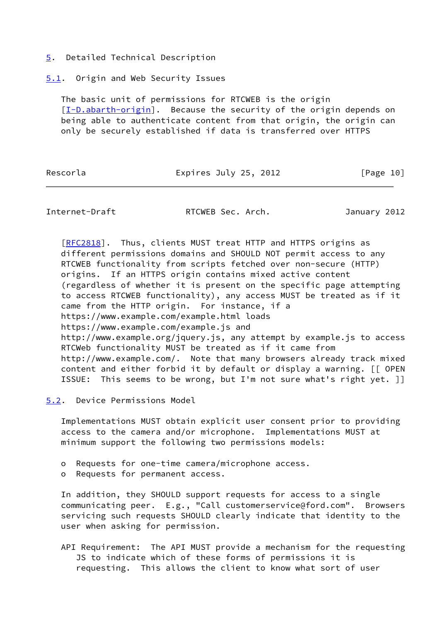#### <span id="page-11-0"></span>[5](#page-11-0). Detailed Technical Description

#### <span id="page-11-1"></span>[5.1](#page-11-1). Origin and Web Security Issues

 The basic unit of permissions for RTCWEB is the origin [\[I-D.abarth-origin](#page-19-8)]. Because the security of the origin depends on being able to authenticate content from that origin, the origin can only be securely established if data is transferred over HTTPS

Rescorla **Expires July 25, 2012** [Page 10]

<span id="page-11-3"></span>Internet-Draft RTCWEB Sec. Arch. January 2012

[\[RFC2818](https://datatracker.ietf.org/doc/pdf/rfc2818)]. Thus, clients MUST treat HTTP and HTTPS origins as different permissions domains and SHOULD NOT permit access to any RTCWEB functionality from scripts fetched over non-secure (HTTP) origins. If an HTTPS origin contains mixed active content (regardless of whether it is present on the specific page attempting to access RTCWEB functionality), any access MUST be treated as if it came from the HTTP origin. For instance, if a https://www.example.com/example.html loads https://www.example.com/example.js and http://www.example.org/jquery.js, any attempt by example.js to access RTCWeb functionality MUST be treated as if it came from http://www.example.com/. Note that many browsers already track mixed content and either forbid it by default or display a warning. [[ OPEN ISSUE: This seems to be wrong, but I'm not sure what's right yet. []

<span id="page-11-2"></span>[5.2](#page-11-2). Device Permissions Model

 Implementations MUST obtain explicit user consent prior to providing access to the camera and/or microphone. Implementations MUST at minimum support the following two permissions models:

- o Requests for one-time camera/microphone access.
- o Requests for permanent access.

 In addition, they SHOULD support requests for access to a single communicating peer. E.g., "Call customerservice@ford.com". Browsers servicing such requests SHOULD clearly indicate that identity to the user when asking for permission.

 API Requirement: The API MUST provide a mechanism for the requesting JS to indicate which of these forms of permissions it is requesting. This allows the client to know what sort of user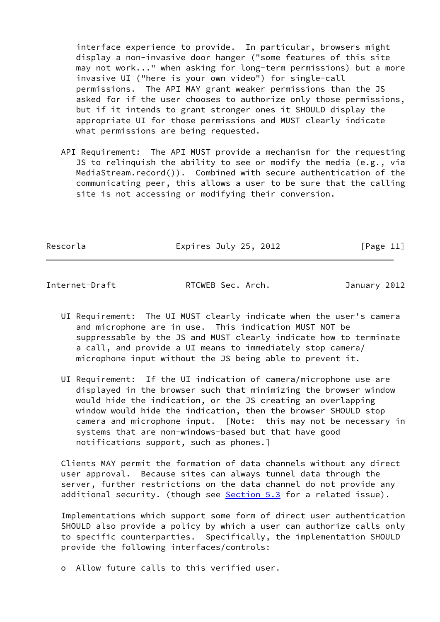interface experience to provide. In particular, browsers might display a non-invasive door hanger ("some features of this site may not work..." when asking for long-term permissions) but a more invasive UI ("here is your own video") for single-call permissions. The API MAY grant weaker permissions than the JS asked for if the user chooses to authorize only those permissions, but if it intends to grant stronger ones it SHOULD display the appropriate UI for those permissions and MUST clearly indicate what permissions are being requested.

 API Requirement: The API MUST provide a mechanism for the requesting JS to relinquish the ability to see or modify the media (e.g., via MediaStream.record()). Combined with secure authentication of the communicating peer, this allows a user to be sure that the calling site is not accessing or modifying their conversion.

Rescorla **Expires July 25, 2012** [Page 11]

<span id="page-12-0"></span>Internet-Draft RTCWEB Sec. Arch. January 2012

- UI Requirement: The UI MUST clearly indicate when the user's camera and microphone are in use. This indication MUST NOT be suppressable by the JS and MUST clearly indicate how to terminate a call, and provide a UI means to immediately stop camera/ microphone input without the JS being able to prevent it.
- UI Requirement: If the UI indication of camera/microphone use are displayed in the browser such that minimizing the browser window would hide the indication, or the JS creating an overlapping window would hide the indication, then the browser SHOULD stop camera and microphone input. [Note: this may not be necessary in systems that are non-windows-based but that have good notifications support, such as phones.]

 Clients MAY permit the formation of data channels without any direct user approval. Because sites can always tunnel data through the server, further restrictions on the data channel do not provide any additional security. (though see [Section 5.3](#page-13-0) for a related issue).

 Implementations which support some form of direct user authentication SHOULD also provide a policy by which a user can authorize calls only to specific counterparties. Specifically, the implementation SHOULD provide the following interfaces/controls:

o Allow future calls to this verified user.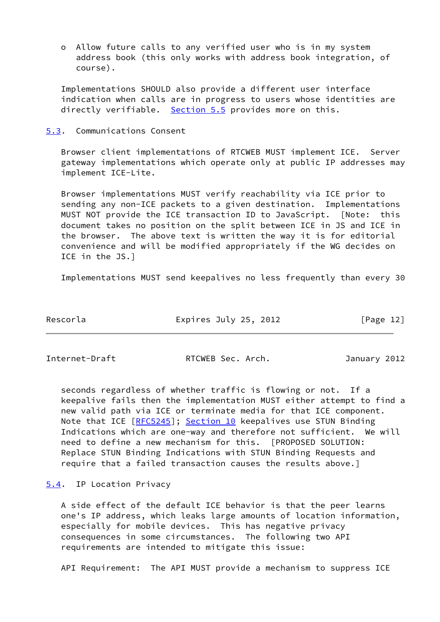o Allow future calls to any verified user who is in my system address book (this only works with address book integration, of course).

 Implementations SHOULD also provide a different user interface indication when calls are in progress to users whose identities are directly verifiable. [Section 5.5](#page-14-0) provides more on this.

#### <span id="page-13-0"></span>[5.3](#page-13-0). Communications Consent

 Browser client implementations of RTCWEB MUST implement ICE. Server gateway implementations which operate only at public IP addresses may implement ICE-Lite.

 Browser implementations MUST verify reachability via ICE prior to sending any non-ICE packets to a given destination. Implementations MUST NOT provide the ICE transaction ID to JavaScript. [Note: this document takes no position on the split between ICE in JS and ICE in the browser. The above text is written the way it is for editorial convenience and will be modified appropriately if the WG decides on ICE in the JS.]

Implementations MUST send keepalives no less frequently than every 30

| Rescorla | Expires July 25, 2012 | [Page 12] |
|----------|-----------------------|-----------|
|          |                       |           |

<span id="page-13-2"></span>

Internet-Draft RTCWEB Sec. Arch. January 2012

 seconds regardless of whether traffic is flowing or not. If a keepalive fails then the implementation MUST either attempt to find a new valid path via ICE or terminate media for that ICE component. Note that ICE [[RFC5245](https://datatracker.ietf.org/doc/pdf/rfc5245)]; Section 10 keepalives use STUN Binding Indications which are one-way and therefore not sufficient. We will need to define a new mechanism for this. [PROPOSED SOLUTION: Replace STUN Binding Indications with STUN Binding Requests and require that a failed transaction causes the results above.]

# <span id="page-13-1"></span>[5.4](#page-13-1). IP Location Privacy

 A side effect of the default ICE behavior is that the peer learns one's IP address, which leaks large amounts of location information, especially for mobile devices. This has negative privacy consequences in some circumstances. The following two API requirements are intended to mitigate this issue:

API Requirement: The API MUST provide a mechanism to suppress ICE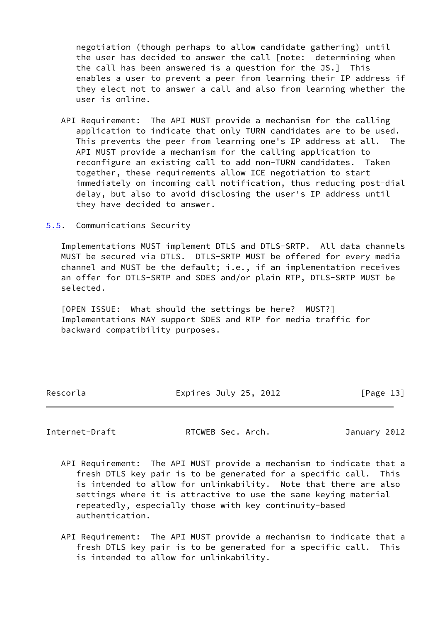negotiation (though perhaps to allow candidate gathering) until the user has decided to answer the call [note: determining when the call has been answered is a question for the JS.] This enables a user to prevent a peer from learning their IP address if they elect not to answer a call and also from learning whether the user is online.

 API Requirement: The API MUST provide a mechanism for the calling application to indicate that only TURN candidates are to be used. This prevents the peer from learning one's IP address at all. The API MUST provide a mechanism for the calling application to reconfigure an existing call to add non-TURN candidates. Taken together, these requirements allow ICE negotiation to start immediately on incoming call notification, thus reducing post-dial delay, but also to avoid disclosing the user's IP address until they have decided to answer.

<span id="page-14-0"></span>[5.5](#page-14-0). Communications Security

 Implementations MUST implement DTLS and DTLS-SRTP. All data channels MUST be secured via DTLS. DTLS-SRTP MUST be offered for every media channel and MUST be the default; i.e., if an implementation receives an offer for DTLS-SRTP and SDES and/or plain RTP, DTLS-SRTP MUST be selected.

 [OPEN ISSUE: What should the settings be here? MUST?] Implementations MAY support SDES and RTP for media traffic for backward compatibility purposes.

Rescorla **Expires July 25, 2012** [Page 13]

Internet-Draft RTCWEB Sec. Arch. January 2012

- API Requirement: The API MUST provide a mechanism to indicate that a fresh DTLS key pair is to be generated for a specific call. This is intended to allow for unlinkability. Note that there are also settings where it is attractive to use the same keying material repeatedly, especially those with key continuity-based authentication.
- API Requirement: The API MUST provide a mechanism to indicate that a fresh DTLS key pair is to be generated for a specific call. This is intended to allow for unlinkability.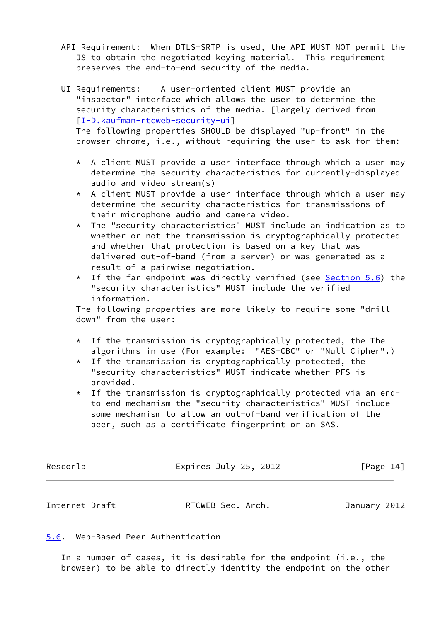- API Requirement: When DTLS-SRTP is used, the API MUST NOT permit the JS to obtain the negotiated keying material. This requirement preserves the end-to-end security of the media.
- UI Requirements: A user-oriented client MUST provide an "inspector" interface which allows the user to determine the security characteristics of the media. [largely derived from [[I-D.kaufman-rtcweb-security-ui](#page-19-9)]

 The following properties SHOULD be displayed "up-front" in the browser chrome, i.e., without requiring the user to ask for them:

- $*$  A client MUST provide a user interface through which a user may determine the security characteristics for currently-displayed audio and video stream(s)
- \* A client MUST provide a user interface through which a user may determine the security characteristics for transmissions of their microphone audio and camera video.
- \* The "security characteristics" MUST include an indication as to whether or not the transmission is cryptographically protected and whether that protection is based on a key that was delivered out-of-band (from a server) or was generated as a result of a pairwise negotiation.
- \* If the far endpoint was directly verified (see [Section 5.6](#page-15-0)) the "security characteristics" MUST include the verified information.

 The following properties are more likely to require some "drill down" from the user:

- \* If the transmission is cryptographically protected, the The algorithms in use (For example: "AES-CBC" or "Null Cipher".)
- $*$  If the transmission is cryptographically protected, the "security characteristics" MUST indicate whether PFS is provided.
- $*$  If the transmission is cryptographically protected via an end to-end mechanism the "security characteristics" MUST include some mechanism to allow an out-of-band verification of the peer, such as a certificate fingerprint or an SAS.

| Rescorla | Expires July 25, 2012 | [Page 14] |  |
|----------|-----------------------|-----------|--|
|          |                       |           |  |

<span id="page-15-1"></span>Internet-Draft RTCWEB Sec. Arch. January 2012

### <span id="page-15-0"></span>[5.6](#page-15-0). Web-Based Peer Authentication

 In a number of cases, it is desirable for the endpoint (i.e., the browser) to be able to directly identity the endpoint on the other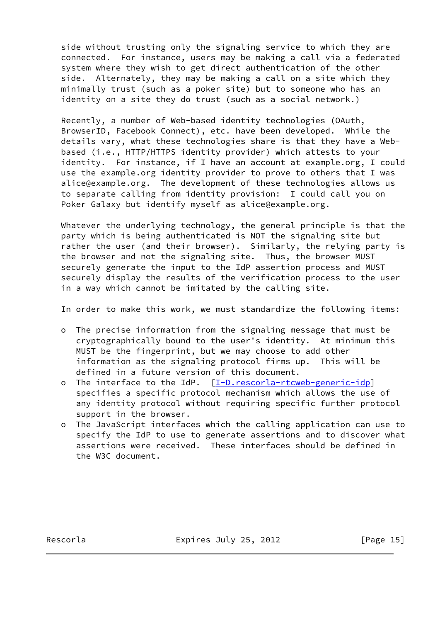side without trusting only the signaling service to which they are connected. For instance, users may be making a call via a federated system where they wish to get direct authentication of the other side. Alternately, they may be making a call on a site which they minimally trust (such as a poker site) but to someone who has an identity on a site they do trust (such as a social network.)

 Recently, a number of Web-based identity technologies (OAuth, BrowserID, Facebook Connect), etc. have been developed. While the details vary, what these technologies share is that they have a Web based (i.e., HTTP/HTTPS identity provider) which attests to your identity. For instance, if I have an account at example.org, I could use the example.org identity provider to prove to others that I was alice@example.org. The development of these technologies allows us to separate calling from identity provision: I could call you on Poker Galaxy but identify myself as alice@example.org.

 Whatever the underlying technology, the general principle is that the party which is being authenticated is NOT the signaling site but rather the user (and their browser). Similarly, the relying party is the browser and not the signaling site. Thus, the browser MUST securely generate the input to the IdP assertion process and MUST securely display the results of the verification process to the user in a way which cannot be imitated by the calling site.

In order to make this work, we must standardize the following items:

- o The precise information from the signaling message that must be cryptographically bound to the user's identity. At minimum this MUST be the fingerprint, but we may choose to add other information as the signaling protocol firms up. This will be defined in a future version of this document.
- o The interface to the IdP. [[I-D.rescorla-rtcweb-generic-idp](#page-20-1)] specifies a specific protocol mechanism which allows the use of any identity protocol without requiring specific further protocol support in the browser.
- o The JavaScript interfaces which the calling application can use to specify the IdP to use to generate assertions and to discover what assertions were received. These interfaces should be defined in the W3C document.

Rescorla **Expires July 25, 2012** [Page 15]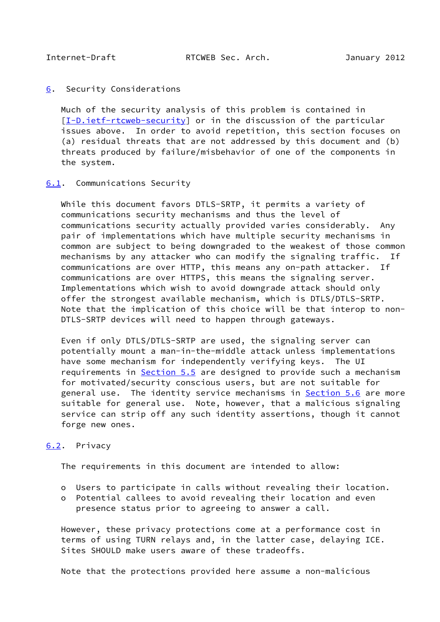#### <span id="page-17-1"></span><span id="page-17-0"></span>[6](#page-17-0). Security Considerations

 Much of the security analysis of this problem is contained in [\[I-D.ietf-rtcweb-security](#page-19-5)] or in the discussion of the particular issues above. In order to avoid repetition, this section focuses on (a) residual threats that are not addressed by this document and (b) threats produced by failure/misbehavior of one of the components in the system.

#### <span id="page-17-2"></span>[6.1](#page-17-2). Communications Security

 While this document favors DTLS-SRTP, it permits a variety of communications security mechanisms and thus the level of communications security actually provided varies considerably. Any pair of implementations which have multiple security mechanisms in common are subject to being downgraded to the weakest of those common mechanisms by any attacker who can modify the signaling traffic. If communications are over HTTP, this means any on-path attacker. If communications are over HTTPS, this means the signaling server. Implementations which wish to avoid downgrade attack should only offer the strongest available mechanism, which is DTLS/DTLS-SRTP. Note that the implication of this choice will be that interop to non- DTLS-SRTP devices will need to happen through gateways.

 Even if only DTLS/DTLS-SRTP are used, the signaling server can potentially mount a man-in-the-middle attack unless implementations have some mechanism for independently verifying keys. The UI requirements in [Section 5.5](#page-14-0) are designed to provide such a mechanism for motivated/security conscious users, but are not suitable for general use. The identity service mechanisms in [Section 5.6](#page-15-0) are more suitable for general use. Note, however, that a malicious signaling service can strip off any such identity assertions, though it cannot forge new ones.

### <span id="page-17-3"></span>[6.2](#page-17-3). Privacy

The requirements in this document are intended to allow:

- o Users to participate in calls without revealing their location.
- o Potential callees to avoid revealing their location and even presence status prior to agreeing to answer a call.

 However, these privacy protections come at a performance cost in terms of using TURN relays and, in the latter case, delaying ICE. Sites SHOULD make users aware of these tradeoffs.

Note that the protections provided here assume a non-malicious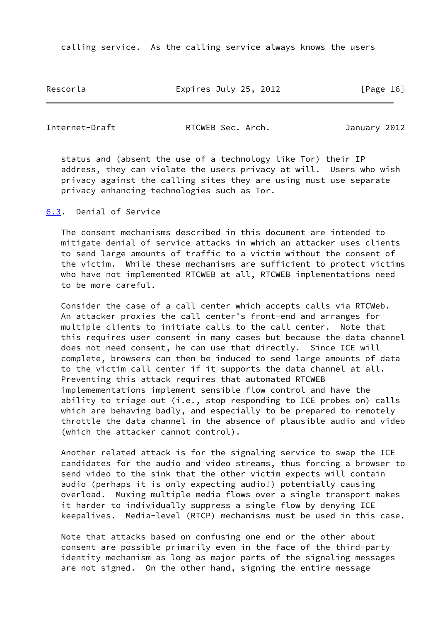calling service. As the calling service always knows the users

Rescorla Expires July 25, 2012 [Page 16]

<span id="page-18-1"></span>Internet-Draft RTCWEB Sec. Arch. January 2012

 status and (absent the use of a technology like Tor) their IP address, they can violate the users privacy at will. Users who wish privacy against the calling sites they are using must use separate privacy enhancing technologies such as Tor.

<span id="page-18-0"></span>[6.3](#page-18-0). Denial of Service

 The consent mechanisms described in this document are intended to mitigate denial of service attacks in which an attacker uses clients to send large amounts of traffic to a victim without the consent of the victim. While these mechanisms are sufficient to protect victims who have not implemented RTCWEB at all, RTCWEB implementations need to be more careful.

 Consider the case of a call center which accepts calls via RTCWeb. An attacker proxies the call center's front-end and arranges for multiple clients to initiate calls to the call center. Note that this requires user consent in many cases but because the data channel does not need consent, he can use that directly. Since ICE will complete, browsers can then be induced to send large amounts of data to the victim call center if it supports the data channel at all. Preventing this attack requires that automated RTCWEB implemementations implement sensible flow control and have the ability to triage out (i.e., stop responding to ICE probes on) calls which are behaving badly, and especially to be prepared to remotely throttle the data channel in the absence of plausible audio and video (which the attacker cannot control).

 Another related attack is for the signaling service to swap the ICE candidates for the audio and video streams, thus forcing a browser to send video to the sink that the other victim expects will contain audio (perhaps it is only expecting audio!) potentially causing overload. Muxing multiple media flows over a single transport makes it harder to individually suppress a single flow by denying ICE keepalives. Media-level (RTCP) mechanisms must be used in this case.

 Note that attacks based on confusing one end or the other about consent are possible primarily even in the face of the third-party identity mechanism as long as major parts of the signaling messages are not signed. On the other hand, signing the entire message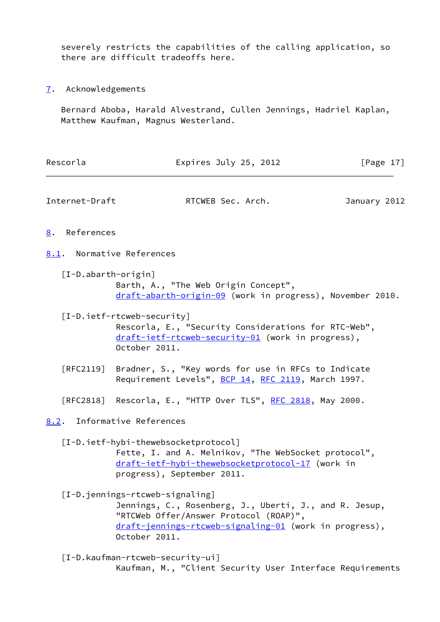severely restricts the capabilities of the calling application, so there are difficult tradeoffs here.

<span id="page-19-0"></span>[7](#page-19-0). Acknowledgements

 Bernard Aboba, Harald Alvestrand, Cullen Jennings, Hadriel Kaplan, Matthew Kaufman, Magnus Westerland.

<span id="page-19-9"></span><span id="page-19-8"></span><span id="page-19-7"></span><span id="page-19-6"></span><span id="page-19-5"></span><span id="page-19-4"></span><span id="page-19-3"></span><span id="page-19-2"></span><span id="page-19-1"></span>

| Rescorla                         | Expires July 25, 2012                                                                                                                                                                                          | [Page $17$ ] |
|----------------------------------|----------------------------------------------------------------------------------------------------------------------------------------------------------------------------------------------------------------|--------------|
| Internet-Draft                   | RTCWEB Sec. Arch.                                                                                                                                                                                              | January 2012 |
| References<br>8.                 |                                                                                                                                                                                                                |              |
|                                  | 8.1. Normative References                                                                                                                                                                                      |              |
|                                  | $[I-Dabarth-origin]$<br>Barth, A., "The Web Origin Concept",<br>draft-abarth-origin-09 (work in progress), November 2010.                                                                                      |              |
|                                  | $[I-D.ietf-rtcweb-security]$<br>Rescorla, E., "Security Considerations for RTC-Web",<br>draft-ietf-rtcweb-security-01 (work in progress),<br>October 2011.                                                     |              |
| $\lceil \mathsf{RFC2119} \rceil$ | Bradner, S., "Key words for use in RFCs to Indicate<br>Requirement Levels", BCP 14, RFC 2119, March 1997.                                                                                                      |              |
|                                  | [RFC2818] Rescorla, E., "HTTP Over TLS", <u>RFC 2818</u> , May 2000.                                                                                                                                           |              |
|                                  | 8.2. Informative References                                                                                                                                                                                    |              |
|                                  | [I-D.ietf-hybi-thewebsocketprotocol]<br>Fette, I. and A. Melnikov, "The WebSocket protocol",<br>draft-ietf-hybi-thewebsocketprotocol-17 (work in<br>progress), September 2011.                                 |              |
|                                  | [I-D.jennings-rtcweb-signaling]<br>Jennings, C., Rosenberg, J., Uberti, J., and R. Jesup,<br>"RTCWeb Offer/Answer Protocol (ROAP)",<br>draft-jennings-rtcweb-signaling-01 (work in progress),<br>October 2011. |              |
|                                  | $[I-D.kaufman-rtcweb-security-ui]$<br>Kaufman, M., "Client Security User Interface Requirements                                                                                                                |              |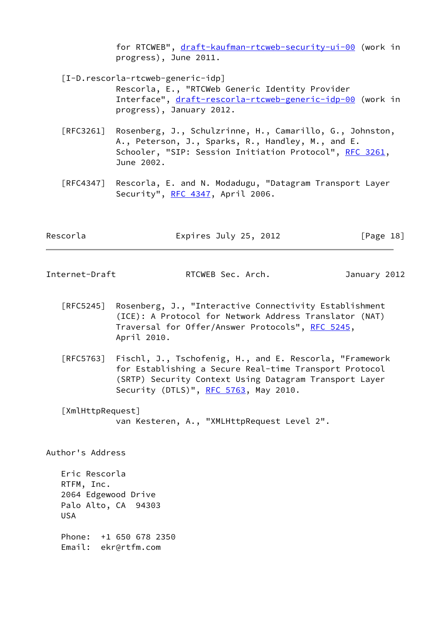for RTCWEB", [draft-kaufman-rtcweb-security-ui-00](https://datatracker.ietf.org/doc/pdf/draft-kaufman-rtcweb-security-ui-00) (work in progress), June 2011.

<span id="page-20-1"></span>[I-D.rescorla-rtcweb-generic-idp]

 Rescorla, E., "RTCWeb Generic Identity Provider Interface", [draft-rescorla-rtcweb-generic-idp-00](https://datatracker.ietf.org/doc/pdf/draft-rescorla-rtcweb-generic-idp-00) (work in progress), January 2012.

- [RFC3261] Rosenberg, J., Schulzrinne, H., Camarillo, G., Johnston, A., Peterson, J., Sparks, R., Handley, M., and E. Schooler, "SIP: Session Initiation Protocol", [RFC 3261](https://datatracker.ietf.org/doc/pdf/rfc3261), June 2002.
- [RFC4347] Rescorla, E. and N. Modadugu, "Datagram Transport Layer Security", [RFC 4347](https://datatracker.ietf.org/doc/pdf/rfc4347), April 2006.

| Rescorla | Expires July 25, 2012 | [Page 18] |
|----------|-----------------------|-----------|
|----------|-----------------------|-----------|

<span id="page-20-0"></span>

| Internet-Draft | RTCWEB Sec. Arch. | January 2012 |
|----------------|-------------------|--------------|
|----------------|-------------------|--------------|

- [RFC5245] Rosenberg, J., "Interactive Connectivity Establishment (ICE): A Protocol for Network Address Translator (NAT) Traversal for Offer/Answer Protocols", [RFC 5245](https://datatracker.ietf.org/doc/pdf/rfc5245), April 2010.
- [RFC5763] Fischl, J., Tschofenig, H., and E. Rescorla, "Framework for Establishing a Secure Real-time Transport Protocol (SRTP) Security Context Using Datagram Transport Layer Security (DTLS)", [RFC 5763](https://datatracker.ietf.org/doc/pdf/rfc5763), May 2010.

<span id="page-20-2"></span>[XmlHttpRequest]

van Kesteren, A., "XMLHttpRequest Level 2".

Author's Address

 Eric Rescorla RTFM, Inc. 2064 Edgewood Drive Palo Alto, CA 94303 USA

 Phone: +1 650 678 2350 Email: ekr@rtfm.com